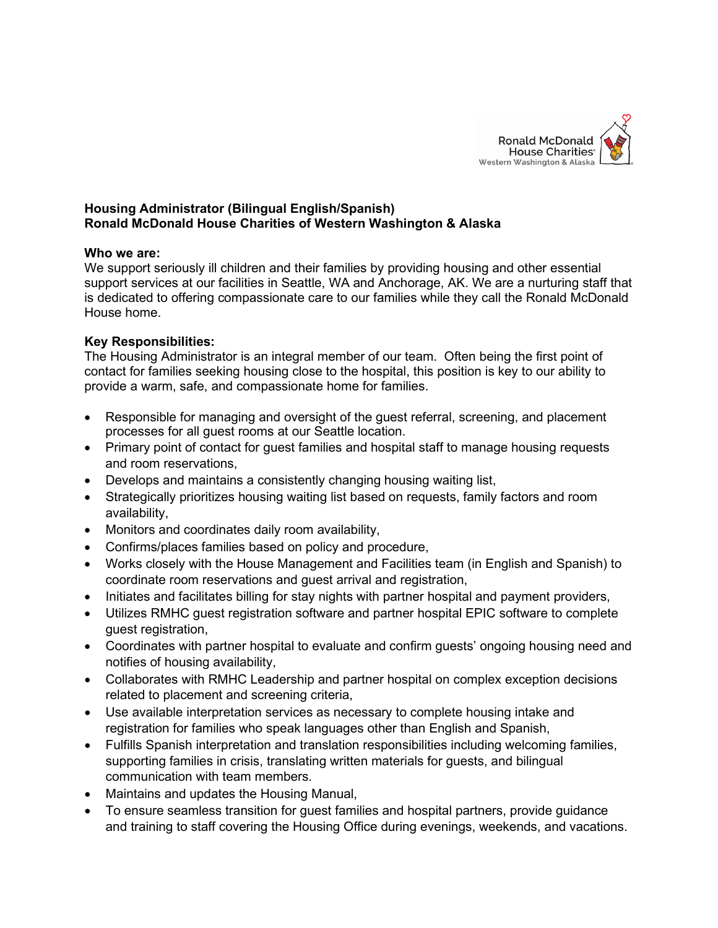

# **Housing Administrator (Bilingual English/Spanish) Ronald McDonald House Charities of Western Washington & Alaska**

#### **Who we are:**

We support seriously ill children and their families by providing housing and other essential support services at our facilities in Seattle, WA and Anchorage, AK. We are a nurturing staff that is dedicated to offering compassionate care to our families while they call the Ronald McDonald House home.

### **Key Responsibilities:**

The Housing Administrator is an integral member of our team. Often being the first point of contact for families seeking housing close to the hospital, this position is key to our ability to provide a warm, safe, and compassionate home for families.

- Responsible for managing and oversight of the guest referral, screening, and placement processes for all guest rooms at our Seattle location.
- Primary point of contact for guest families and hospital staff to manage housing requests and room reservations,
- Develops and maintains a consistently changing housing waiting list,
- Strategically prioritizes housing waiting list based on requests, family factors and room availability,
- Monitors and coordinates daily room availability,
- Confirms/places families based on policy and procedure,
- Works closely with the House Management and Facilities team (in English and Spanish) to coordinate room reservations and guest arrival and registration,
- Initiates and facilitates billing for stay nights with partner hospital and payment providers,
- Utilizes RMHC guest registration software and partner hospital EPIC software to complete guest registration,
- Coordinates with partner hospital to evaluate and confirm guests' ongoing housing need and notifies of housing availability,
- Collaborates with RMHC Leadership and partner hospital on complex exception decisions related to placement and screening criteria,
- Use available interpretation services as necessary to complete housing intake and registration for families who speak languages other than English and Spanish,
- Fulfills Spanish interpretation and translation responsibilities including welcoming families, supporting families in crisis, translating written materials for guests, and bilingual communication with team members.
- Maintains and updates the Housing Manual,
- To ensure seamless transition for guest families and hospital partners, provide guidance and training to staff covering the Housing Office during evenings, weekends, and vacations.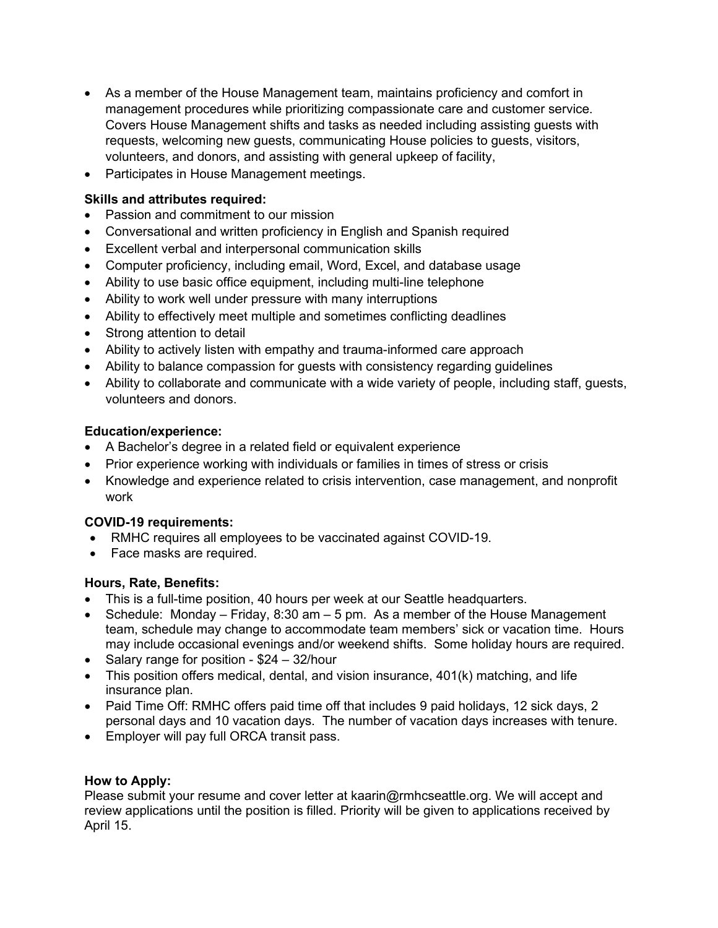- As a member of the House Management team, maintains proficiency and comfort in management procedures while prioritizing compassionate care and customer service. Covers House Management shifts and tasks as needed including assisting guests with requests, welcoming new guests, communicating House policies to guests, visitors, volunteers, and donors, and assisting with general upkeep of facility,
- Participates in House Management meetings.

## **Skills and attributes required:**

- Passion and commitment to our mission
- Conversational and written proficiency in English and Spanish required
- Excellent verbal and interpersonal communication skills
- Computer proficiency, including email, Word, Excel, and database usage
- Ability to use basic office equipment, including multi-line telephone
- Ability to work well under pressure with many interruptions
- Ability to effectively meet multiple and sometimes conflicting deadlines
- Strong attention to detail
- Ability to actively listen with empathy and trauma-informed care approach
- Ability to balance compassion for guests with consistency regarding guidelines
- Ability to collaborate and communicate with a wide variety of people, including staff, guests, volunteers and donors.

### **Education/experience:**

- A Bachelor's degree in a related field or equivalent experience
- Prior experience working with individuals or families in times of stress or crisis
- Knowledge and experience related to crisis intervention, case management, and nonprofit work

### **COVID-19 requirements:**

- RMHC requires all employees to be vaccinated against COVID-19.
- Face masks are required.

### **Hours, Rate, Benefits:**

- This is a full-time position, 40 hours per week at our Seattle headquarters.
- Schedule: Monday Friday, 8:30 am 5 pm. As a member of the House Management team, schedule may change to accommodate team members' sick or vacation time. Hours may include occasional evenings and/or weekend shifts. Some holiday hours are required.
- Salary range for position \$24 32/hour
- This position offers medical, dental, and vision insurance, 401(k) matching, and life insurance plan.
- Paid Time Off: RMHC offers paid time off that includes 9 paid holidays, 12 sick days, 2 personal days and 10 vacation days. The number of vacation days increases with tenure.
- Employer will pay full ORCA transit pass.

### **How to Apply:**

Please submit your resume and cover letter at kaarin@rmhcseattle.org. We will accept and review applications until the position is filled. Priority will be given to applications received by April 15.